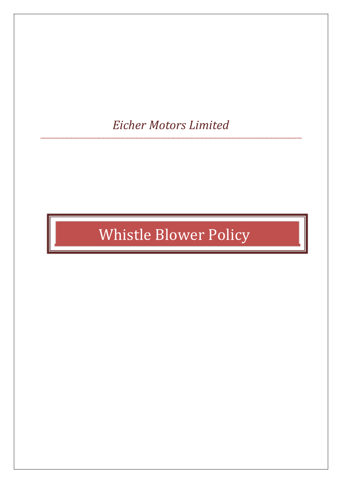# *Eicher Motors Limited*

# Whistle Blower Policy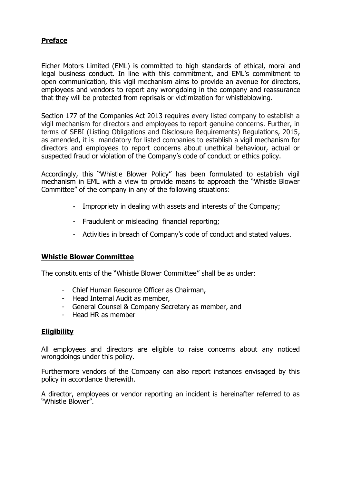# **Preface**

Eicher Motors Limited (EML) is committed to high standards of ethical, moral and legal business conduct. In line with this commitment, and EML's commitment to open communication, this vigil mechanism aims to provide an avenue for directors, employees and vendors to report any wrongdoing in the company and reassurance that they will be protected from reprisals or victimization for whistleblowing.

Section 177 of the Companies Act 2013 requires every listed company to establish a vigil mechanism for directors and employees to report genuine concerns. Further, in terms of SEBI (Listing Obligations and Disclosure Requirements) Regulations, 2015, as amended, it is mandatory for listed companies to establish a vigil mechanism for directors and employees to report concerns about unethical behaviour, actual or suspected fraud or violation of the Company's code of conduct or ethics policy.

Accordingly, this "Whistle Blower Policy" has been formulated to establish vigil mechanism in EML with a view to provide means to approach the "Whistle Blower Committee" of the company in any of the following situations:

- Impropriety in dealing with assets and interests of the Company;
- Fraudulent or misleading financial reporting;
- Activities in breach of Company's code of conduct and stated values.

### **Whistle Blower Committee**

The constituents of the "Whistle Blower Committee" shall be as under:

- Chief Human Resource Officer as Chairman,
- Head Internal Audit as member,
- General Counsel & Company Secretary as member, and
- Head HR as member

# **Eligibility**

All employees and directors are eligible to raise concerns about any noticed wrongdoings under this policy.

Furthermore vendors of the Company can also report instances envisaged by this policy in accordance therewith.

A director, employees or vendor reporting an incident is hereinafter referred to as "Whistle Blower".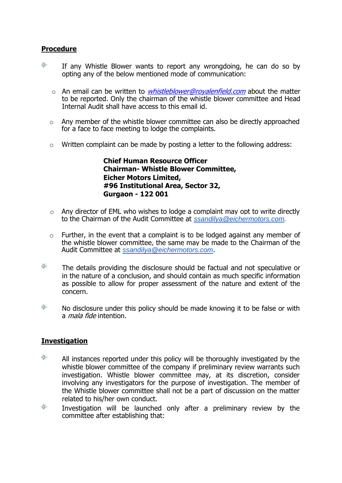# **Procedure**

- ◈ If any Whistle Blower wants to report any wrongdoing, he can do so by opting any of the below mentioned mode of communication:
	- $\circ$  An email can be written to *whistleblower@rovalenfield.com* about the matter to be reported. Only the chairman of the whistle blower committee and Head Internal Audit shall have access to this email id.
	- o Any member of the whistle blower committee can also be directly approached for a face to face meeting to lodge the complaints.
	- $\circ$  Written complaint can be made by posting a letter to the following address:

**Chief Human Resource Officer Chairman- Whistle Blower Committee, Eicher Motors Limited, #96 Institutional Area, Sector 32, Gurgaon - 122 001**

- *o* Any director of EML who wishes to lodge a complaint may opt to write directly to the Chairman of the Audit Committee at *[ssandilya@eichermotors.com](mailto:ssandilya@eichermotors.com).*
- $\circ$  Further, in the event that a complaint is to be lodged against any member of the whistle blower committee, the same may be made to the Chairman of the Audit Committee at *[ssandilya@eichermotors.com](mailto:ssandilya@eichermotors.com)*.
- ĝ., The details providing the disclosure should be factual and not speculative or in the nature of a conclusion, and should contain as much specific information as possible to allow for proper assessment of the nature and extent of the concern.
- ♢-No disclosure under this policy should be made knowing it to be false or with a mala fide intention.

# **Investigation**

- ◈ All instances reported under this policy will be thoroughly investigated by the whistle blower committee of the company if preliminary review warrants such investigation. Whistle blower committee may, at its discretion, consider involving any investigators for the purpose of investigation. The member of the Whistle blower committee shall not be a part of discussion on the matter related to his/her own conduct.
- ◈ Investigation will be launched only after a preliminary review by the committee after establishing that: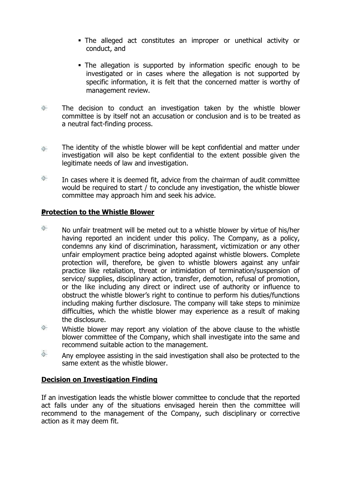- The alleged act constitutes an improper or unethical activity or conduct, and
- The allegation is supported by information specific enough to be investigated or in cases where the allegation is not supported by specific information, it is felt that the concerned matter is worthy of management review.
- ◈ The decision to conduct an investigation taken by the whistle blower committee is by itself not an accusation or conclusion and is to be treated as a neutral fact-finding process.
- The identity of the whistle blower will be kept confidential and matter under </del> investigation will also be kept confidential to the extent possible given the legitimate needs of law and investigation.
- ◈ In cases where it is deemed fit, advice from the chairman of audit committee would be required to start / to conclude any investigation, the whistle blower committee may approach him and seek his advice.

# **Protection to the Whistle Blower**

- ◈ No unfair treatment will be meted out to a whistle blower by virtue of his/her having reported an incident under this policy. The Company, as a policy, condemns any kind of discrimination, harassment, victimization or any other unfair employment practice being adopted against whistle blowers. Complete protection will, therefore, be given to whistle blowers against any unfair practice like retaliation, threat or intimidation of termination/suspension of service/ supplies, disciplinary action, transfer, demotion, refusal of promotion, or the like including any direct or indirect use of authority or influence to obstruct the whistle blower's right to continue to perform his duties/functions including making further disclosure. The company will take steps to minimize difficulties, which the whistle blower may experience as a result of making the disclosure.
- Whistle blower may report any violation of the above clause to the whistle blower committee of the Company, which shall investigate into the same and recommend suitable action to the management.
- Ô. Any employee assisting in the said investigation shall also be protected to the same extent as the whistle blower.

# **Decision on Investigation Finding**

If an investigation leads the whistle blower committee to conclude that the reported act falls under any of the situations envisaged herein then the committee will recommend to the management of the Company, such disciplinary or corrective action as it may deem fit.